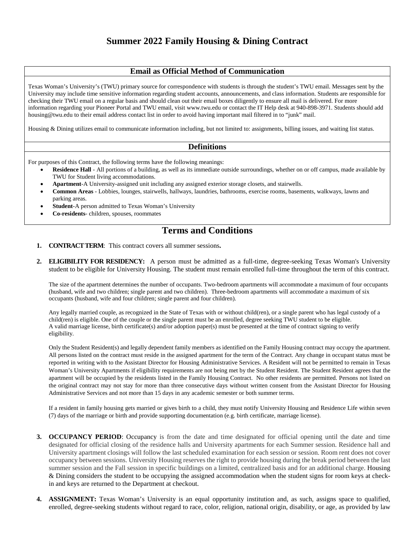### **Email as Official Method of Communication**

Texas Woman's University's (TWU) primary source for correspondence with students is through the student's TWU email. Messages sent by the University may include time sensitive information regarding student accounts, announcements, and class information. Students are responsible for checking their TWU email on a regular basis and should clean out their email boxes diligently to ensure all mail is delivered. For more information regarding your Pioneer Portal and TWU email, visit www.twu.edu or contact the IT Help desk at 940-898-3971. Students should add housing@twu.edu to their email address contact list in order to avoid having important mail filtered in to "junk" mail.

Housing & Dining utilizes email to communicate information including, but not limited to: assignments, billing issues, and waiting list status.

### **Definitions**

For purposes of this Contract, the following terms have the following meanings:

- **Residence Hall** All portions of a building, as well as its immediate outside surroundings, whether on or off campus, made available by TWU for Student living accommodations.
- **Apartment**-A University-assigned unit including any assigned exterior storage closets, and stairwells.
- **Common Areas** Lobbies, lounges, stairwells, hallways, laundries, bathrooms, exercise rooms, basements, walkways, lawns and parking areas.
- **Student**-A person admitted to Texas Woman's University
- **Co-residents** children, spouses, roommates

### **Terms and Conditions**

- **1. CONTRACT TERM**: This contract covers all summer sessions**.**
- **2. ELIGIBILITY FOR RESIDENCY:** A person must be admitted as a full-time, degree-seeking Texas Woman's University student to be eligible for University Housing. The student must remain enrolled full-time throughout the term of this contract.

The size of the apartment determines the number of occupants. Two-bedroom apartments will accommodate a maximum of four occupants (husband, wife and two children; single parent and two children). Three-bedroom apartments will accommodate a maximum of six occupants (husband, wife and four children; single parent and four children).

Any legally married couple, as recognized in the State of Texas with or without child(ren), or a single parent who has legal custody of a child(ren) is eligible. One of the couple or the single parent must be an enrolled, degree seeking TWU student to be eligible. A valid marriage license, birth certificate(s) and/or adoption paper(s) must be presented at the time of contract signing to verify eligibility.

Only the Student Resident(s) and legally dependent family members as identified on the Family Housing contract may occupy the apartment. All persons listed on the contract must reside in the assigned apartment for the term of the Contract. Any change in occupant status must be reported in writing with to the Assistant Director for Housing Administrative Services. A Resident will not be permitted to remain in Texas Woman's University Apartments if eligibility requirements are not being met by the Student Resident. The Student Resident agrees that the apartment will be occupied by the residents listed in the Family Housing Contract. No other residents are permitted. Persons not listed on the original contract may not stay for more than three consecutive days without written consent from the Assistant Director for Housing Administrative Services and not more than 15 days in any academic semester or both summer terms.

If a resident in family housing gets married or gives birth to a child, they must notify University Housing and Residence Life within seven (7) days of the marriage or birth and provide supporting documentation (e.g. birth certificate, marriage license).

- **3. OCCUPANCY PERIOD**: Occupancy is from the date and time designated for official opening until the date and time designated for official closing of the residence halls and University apartments for each Summer session. Residence hall and University apartment closings will follow the last scheduled examination for each session or session. Room rent does not cover occupancy between sessions. University Housing reserves the right to provide housing during the break period between the last summer session and the Fall session in specific buildings on a limited, centralized basis and for an additional charge. Housing & Dining considers the student to be occupying the assigned accommodation when the student signs for room keys at checkin and keys are returned to the Department at checkout.
- **4. ASSIGNMENT:** Texas Woman's University is an equal opportunity institution and, as such, assigns space to qualified, enrolled, degree-seeking students without regard to race, color, religion, national origin, disability, or age, as provided by law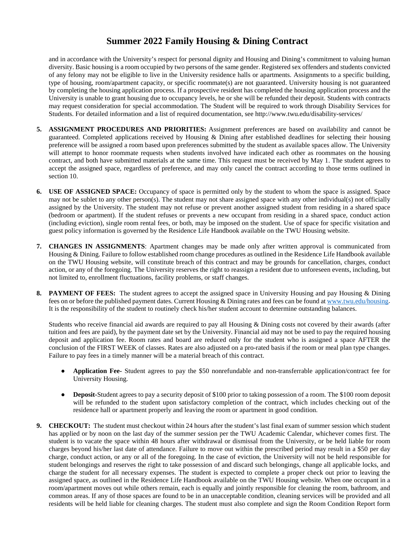and in accordance with the University's respect for personal dignity and Housing and Dining's commitment to valuing human diversity. Basic housing is a room occupied by two persons of the same gender. Registered sex offenders and students convicted of any felony may not be eligible to live in the University residence halls or apartments. Assignments to a specific building, type of housing, room/apartment capacity, or specific roommate(s) are not guaranteed. University housing is not guaranteed by completing the housing application process. If a prospective resident has completed the housing application process and the University is unable to grant housing due to occupancy levels, he or she will be refunded their deposit. Students with contracts may request consideration for special accommodation. The Student will be required to work through Disability Services for Students. For detailed information and a list of required documentation, se[e http://www.twu.edu/disability-services/](http://www.twu.edu/disability-services/)

- **5. ASSIGNMENT PROCEDURES AND PRIORITIES:** Assignment preferences are based on availability and cannot be guaranteed. Completed applications received by Housing & Dining after established deadlines for selecting their housing preference will be assigned a room based upon preferences submitted by the student as available spaces allow. The University will attempt to honor roommate requests when students involved have indicated each other as roommates on the housing contract, and both have submitted materials at the same time. This request must be received by May 1. The student agrees to accept the assigned space, regardless of preference, and may only cancel the contract according to those terms outlined in section 10.
- **6. USE OF ASSIGNED SPACE:** Occupancy of space is permitted only by the student to whom the space is assigned. Space may not be sublet to any other person(s). The student may not share assigned space with any other individual(s) not officially assigned by the University. The student may not refuse or prevent another assigned student from residing in a shared space (bedroom or apartment). If the student refuses or prevents a new occupant from residing in a shared space, conduct action (including eviction), single room rental fees, or both, may be imposed on the student. Use of space for specific visitation and guest policy information is governed by the Residence Life Handbook available on the TWU Housing website.
- **7. CHANGES IN ASSIGNMENTS**: Apartment changes may be made only after written approval is communicated from Housing & Dining. Failure to follow established room change procedures as outlined in the Residence Life Handbook available on the TWU Housing website, will constitute breach of this contract and may be grounds for cancellation, charges, conduct action, or any of the foregoing. The University reserves the right to reassign a resident due to unforeseen events, including, but not limited to, enrollment fluctuations, facility problems, or staff changes.
- **8. PAYMENT OF FEES:** The student agrees to accept the assigned space in University Housing and pay Housing & Dining fees on or before the published payment dates. Current Housing & Dining rates and fees can be found at [www.twu.edu/housing.](http://www.twu.edu/housing) It is the responsibility of the student to routinely check his/her student account to determine outstanding balances.

Students who receive financial aid awards are required to pay all Housing & Dining costs not covered by their awards (after tuition and fees are paid), by the payment date set by the University. Financial aid may not be used to pay the required housing deposit and application fee. Room rates and board are reduced only for the student who is assigned a space AFTER the conclusion of the FIRST WEEK of classes. Rates are also adjusted on a pro-rated basis if the room or meal plan type changes. Failure to pay fees in a timely manner will be a material breach of this contract.

- **Application Fee-** Student agrees to pay the \$50 nonrefundable and non-transferrable application/contract fee for University Housing.
- **Deposit-**Student agrees to pay a security deposit of \$100 prior to taking possession of a room. The \$100 room deposit will be refunded to the student upon satisfactory completion of the contract, which includes checking out of the residence hall or apartment properly and leaving the room or apartment in good condition.
- **9. CHECKOUT:** The student must checkout within 24 hours after the student's last final exam of summer session which student has applied or by noon on the last day of the summer session per the TWU Academic Calendar, whichever comes first. The student is to vacate the space within 48 hours after withdrawal or dismissal from the University, or be held liable for room charges beyond his/her last date of attendance. Failure to move out within the prescribed period may result in a \$50 per day charge, conduct action, or any or all of the foregoing. In the case of eviction, the University will not be held responsible for student belongings and reserves the right to take possession of and discard such belongings, change all applicable locks, and charge the student for all necessary expenses. The student is expected to complete a proper check out prior to leaving the assigned space, as outlined in the Residence Life Handbook available on the TWU Housing website. When one occupant in a room/apartment moves out while others remain, each is equally and jointly responsible for cleaning the room, bathroom, and common areas. If any of those spaces are found to be in an unacceptable condition, cleaning services will be provided and all residents will be held liable for cleaning charges. The student must also complete and sign the Room Condition Report form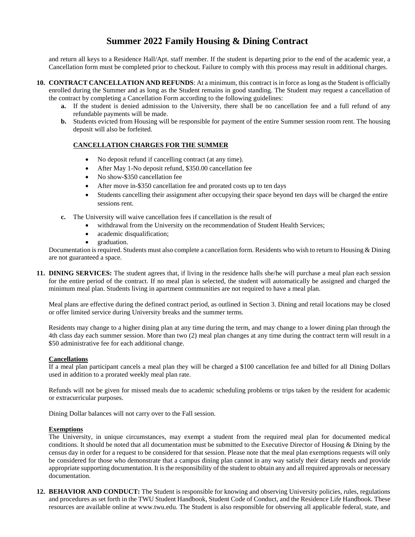and return all keys to a Residence Hall/Apt. staff member. If the student is departing prior to the end of the academic year, a Cancellation form must be completed prior to checkout. Failure to comply with this process may result in additional charges.

- **10. CONTRACT CANCELLATION AND REFUNDS**: At a minimum, this contract is in force as long as the Student is officially enrolled during the Summer and as long as the Student remains in good standing. The Student may request a cancellation of the contract by completing a Cancellation Form according to the following guidelines:
	- **a.** If the student is denied admission to the University, there shall be no cancellation fee and a full refund of any refundable payments will be made.
	- **b.** Students evicted from Housing will be responsible for payment of the entire Summer session room rent. The housing deposit will also be forfeited.

### **CANCELLATION CHARGES FOR THE SUMMER**

- No deposit refund if cancelling contract (at any time).
- After May 1-No deposit refund, \$350.00 cancellation fee
- No show-\$350 cancellation fee
- After move in-\$350 cancellation fee and prorated costs up to ten days
- Students cancelling their assignment after occupying their space beyond ten days will be charged the entire sessions rent.
- **c.** The University will waive cancellation fees if cancellation is the result of
	- withdrawal from the University on the recommendation of Student Health Services;
	- academic disqualification;
	- graduation.

Documentation is required. Students must also complete a cancellation form. Residents who wish to return to Housing & Dining are not guaranteed a space.

**11. DINING SERVICES:** The student agrees that, if living in the residence halls she/he will purchase a meal plan each session for the entire period of the contract. If no meal plan is selected, the student will automatically be assigned and charged the minimum meal plan. Students living in apartment communities are not required to have a meal plan.

Meal plans are effective during the defined contract period, as outlined in Section 3. Dining and retail locations may be closed or offer limited service during University breaks and the summer terms.

Residents may change to a higher dining plan at any time during the term, and may change to a lower dining plan through the 4th class day each summer session. More than two (2) meal plan changes at any time during the contract term will result in a \$50 administrative fee for each additional change.

### **Cancellations**

If a meal plan participant cancels a meal plan they will be charged a \$100 cancellation fee and billed for all Dining Dollars used in addition to a prorated weekly meal plan rate.

Refunds will not be given for missed meals due to academic scheduling problems or trips taken by the resident for academic or extracurricular purposes.

Dining Dollar balances will not carry over to the Fall session.

#### **Exemptions**

The University, in unique circumstances, may exempt a student from the required meal plan for documented medical conditions. It should be noted that all documentation must be submitted to the Executive Director of Housing & Dining by the census day in order for a request to be considered for that session. Please note that the meal plan exemptions requests will only be considered for those who demonstrate that a campus dining plan cannot in any way satisfy their dietary needs and provide appropriate supporting documentation. It is the responsibility of the student to obtain any and all required approvals or necessary documentation.

**12. BEHAVIOR AND CONDUCT:** The Student is responsible for knowing and observing University policies, rules, regulations and procedures as set forth in the TWU Student Handbook, Student Code of Conduct, and the Residence Life Handbook. These resources are available online at www.twu.edu. The Student is also responsible for observing all applicable federal, state, and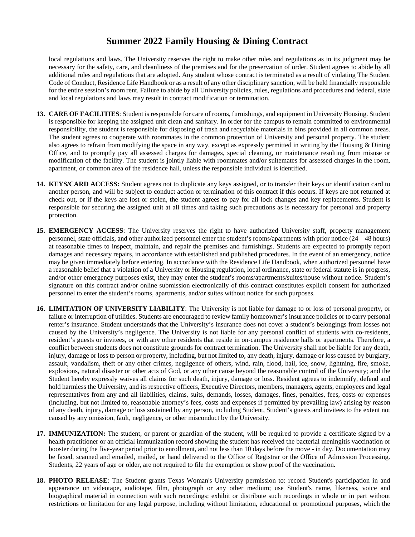local regulations and laws. The University reserves the right to make other rules and regulations as in its judgment may be necessary for the safety, care, and cleanliness of the premises and for the preservation of order. Student agrees to abide by all additional rules and regulations that are adopted. Any student whose contract is terminated as a result of violating The Student Code of Conduct, Residence Life Handbook or as a result of any other disciplinary sanction, will be held financially responsible for the entire session's room rent. Failure to abide by all University policies, rules, regulations and procedures and federal, state and local regulations and laws may result in contract modification or termination.

- **13. CARE OF FACILITIES**: Student is responsible for care of rooms, furnishings, and equipment in University Housing. Student is responsible for keeping the assigned unit clean and sanitary. In order for the campus to remain committed to environmental responsibility, the student is responsible for disposing of trash and recyclable materials in bins provided in all common areas. The student agrees to cooperate with roommates in the common protection of University and personal property. The student also agrees to refrain from modifying the space in any way, except as expressly permitted in writing by the Housing & Dining Office, and to promptly pay all assessed charges for damages, special cleaning, or maintenance resulting from misuse or modification of the facility. The student is jointly liable with roommates and/or suitemates for assessed charges in the room, apartment, or common area of the residence hall, unless the responsible individual is identified.
- **14. KEYS/CARD ACCESS:** Student agrees not to duplicate any keys assigned, or to transfer their keys or identification card to another person, and will be subject to conduct action or termination of this contract if this occurs. If keys are not returned at check out, or if the keys are lost or stolen, the student agrees to pay for all lock changes and key replacements. Student is responsible for securing the assigned unit at all times and taking such precautions as is necessary for personal and property protection.
- **15. EMERGENCY ACCESS**: The University reserves the right to have authorized University staff, property management personnel, state officials, and other authorized personnel enter the student's rooms/apartments with prior notice (24 – 48 hours) at reasonable times to inspect, maintain, and repair the premises and furnishings. Students are expected to promptly report damages and necessary repairs, in accordance with established and published procedures. In the event of an emergency, notice may be given immediately before entering. In accordance with the Residence Life Handbook, when authorized personnel have a reasonable belief that a violation of a University or Housing regulation, local ordinance, state or federal statute is in progress, and/or other emergency purposes exist, they may enter the student's rooms/apartments/suites/house without notice. Student's signature on this contract and/or online submission electronically of this contract constitutes explicit consent for authorized personnel to enter the student's rooms, apartments, and/or suites without notice for such purposes.
- **16. LIMITATION OF UNIVERSITY LIABILITY**: The University is not liable for damage to or loss of personal property, or failure or interruption of utilities. Students are encouraged to review family homeowner's insurance policies or to carry personal renter's insurance. Student understands that the University's insurance does not cover a student's belongings from losses not caused by the University's negligence. The University is not liable for any personal conflict of students with co-residents, resident's guests or invitees, or with any other residents that reside in on-campus residence halls or apartments. Therefore, a conflict between students does not constitute grounds for contract termination. The University shall not be liable for any death, injury, damage or loss to person or property, including, but not limited to, any death, injury, damage or loss caused by burglary, assault, vandalism, theft or any other crimes, negligence of others, wind, rain, flood, hail, ice, snow, lightning, fire, smoke, explosions, natural disaster or other acts of God, or any other cause beyond the reasonable control of the University; and the Student hereby expressly waives all claims for such death, injury, damage or loss. Resident agrees to indemnify, defend and hold harmless the University, and its respective officers, Executive Directors, members, managers, agents, employees and legal representatives from any and all liabilities, claims, suits, demands, losses, damages, fines, penalties, fees, costs or expenses (including, but not limited to, reasonable attorney's fees, costs and expenses if permitted by prevailing law) arising by reason of any death, injury, damage or loss sustained by any person, including Student, Student's guests and invitees to the extent not caused by any omission, fault, negligence, or other misconduct by the University.
- **17. IMMUNIZATION:** The student, or parent or guardian of the student, will be required to provide a certificate signed by a health practitioner or an official immunization record showing the student has received the bacterial meningitis vaccination or booster during the five-year period prior to enrollment, and not less than 10 days before the move - in day. Documentation may be faxed, scanned and emailed, mailed, or hand delivered to the Office of Registrar or the Office of Admission Processing. Students, 22 years of age or older, are not required to file the exemption or show proof of the vaccination.
- **18. PHOTO RELEASE**: The Student grants Texas Woman's University permission to: record Student's participation in and appearance on videotape, audiotape, film, photograph or any other medium; use Student's name, likeness, voice and biographical material in connection with such recordings; exhibit or distribute such recordings in whole or in part without restrictions or limitation for any legal purpose, including without limitation, educational or promotional purposes, which the